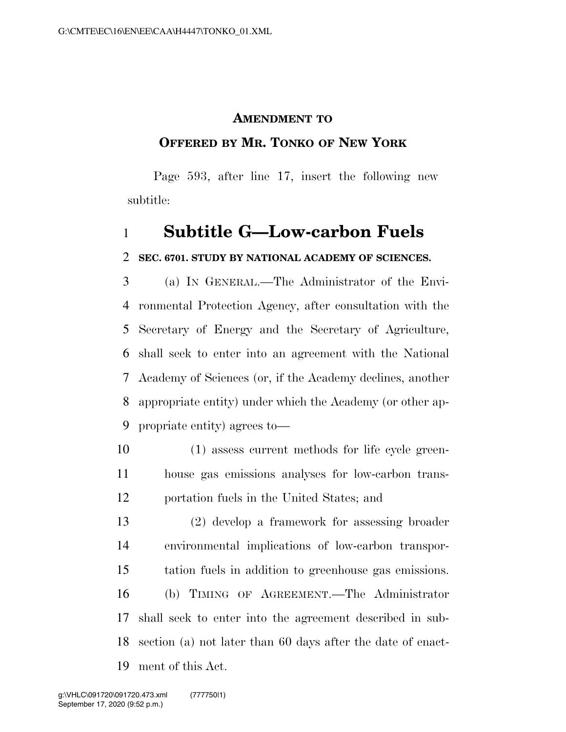#### **AMENDMENT TO**

### **OFFERED BY MR. TONKO OF NEW YORK**

Page 593, after line 17, insert the following new subtitle:

# **Subtitle G—Low-carbon Fuels**

### **SEC. 6701. STUDY BY NATIONAL ACADEMY OF SCIENCES.**

 (a) IN GENERAL.—The Administrator of the Envi- ronmental Protection Agency, after consultation with the Secretary of Energy and the Secretary of Agriculture, shall seek to enter into an agreement with the National Academy of Sciences (or, if the Academy declines, another appropriate entity) under which the Academy (or other ap-propriate entity) agrees to—

 (1) assess current methods for life cycle green- house gas emissions analyses for low-carbon trans-portation fuels in the United States; and

 (2) develop a framework for assessing broader environmental implications of low-carbon transpor- tation fuels in addition to greenhouse gas emissions. (b) TIMING OF AGREEMENT.—The Administrator shall seek to enter into the agreement described in sub- section (a) not later than 60 days after the date of enact-ment of this Act.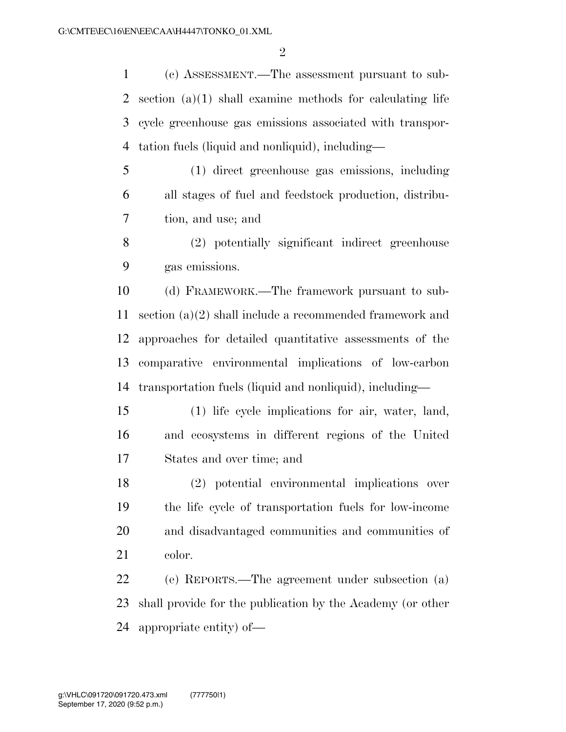(c) ASSESSMENT.—The assessment pursuant to sub- section (a)(1) shall examine methods for calculating life cycle greenhouse gas emissions associated with transpor-tation fuels (liquid and nonliquid), including—

 (1) direct greenhouse gas emissions, including all stages of fuel and feedstock production, distribu-tion, and use; and

 (2) potentially significant indirect greenhouse gas emissions.

 (d) FRAMEWORK.—The framework pursuant to sub- section (a)(2) shall include a recommended framework and approaches for detailed quantitative assessments of the comparative environmental implications of low-carbon transportation fuels (liquid and nonliquid), including—

 (1) life cycle implications for air, water, land, and ecosystems in different regions of the United States and over time; and

 (2) potential environmental implications over the life cycle of transportation fuels for low-income and disadvantaged communities and communities of color.

 (e) REPORTS.—The agreement under subsection (a) shall provide for the publication by the Academy (or other appropriate entity) of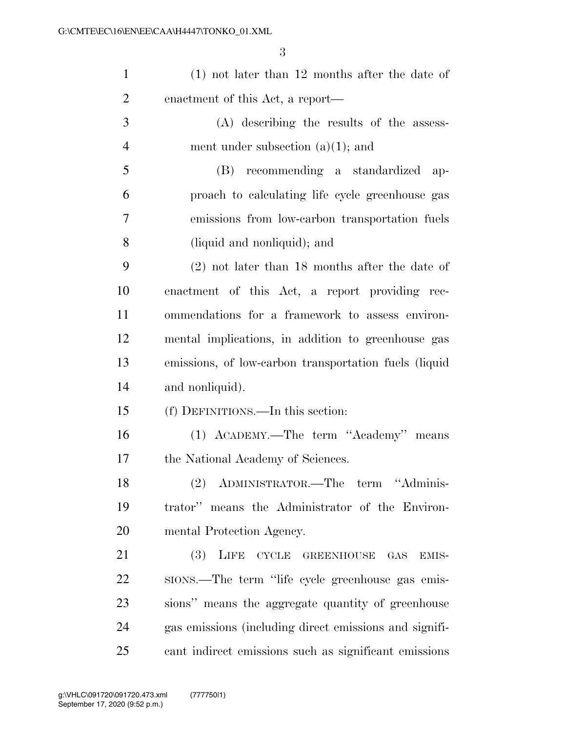| $\mathbf{1}$   | $(1)$ not later than 12 months after the date of       |
|----------------|--------------------------------------------------------|
| $\overline{2}$ | enactment of this Act, a report—                       |
| 3              | (A) describing the results of the assess-              |
| $\overline{4}$ | ment under subsection $(a)(1)$ ; and                   |
| 5              | (B) recommending a standardized<br>$ap-$               |
| 6              | proach to calculating life cycle greenhouse gas        |
| 7              | emissions from low-carbon transportation fuels         |
| 8              | (liquid and nonliquid); and                            |
| 9              | $(2)$ not later than 18 months after the date of       |
| 10             | enactment of this Act, a report providing rec-         |
| 11             | ommendations for a framework to assess environ-        |
| 12             | mental implications, in addition to greenhouse gas     |
| 13             | emissions, of low-carbon transportation fuels (liquid  |
| 14             | and nonliquid).                                        |
| 15             | (f) DEFINITIONS.—In this section:                      |
| 16             | (1) ACADEMY.—The term "Academy" means                  |
| 17             | the National Academy of Sciences.                      |
| 18             | (2) ADMINISTRATOR.—The term<br>"Adminis-               |
| 19             | trator" means the Administrator of the Environ-        |
| 20             | mental Protection Agency.                              |
| 21             | LIFE CYCLE<br>(3)<br><b>GREENHOUSE</b><br>GAS<br>EMIS- |
| 22             | sions.—The term "life cycle greenhouse gas emis-       |
| 23             | sions" means the aggregate quantity of greenhouse      |
| 24             | gas emissions (including direct emissions and signifi- |
| 25             | cant indirect emissions such as significant emissions  |